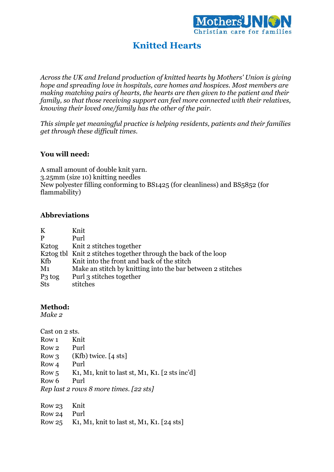

## **Knitted Hearts**

*Across the UK and Ireland production of knitted hearts by Mothers' Union is giving hope and spreading love in hospitals, care homes and hospices. Most members are making matching pairs of hearts, the hearts are then given to the patient and their family, so that those receiving support can feel more connected with their relatives, knowing their loved one/family has the other of the pair.*

*This simple yet meaningful practice is helping residents, patients and their families get through these difficult times.*

## **You will need:**

A small amount of double knit yarn. 3.25mm (size 10) knitting needles New polyester filling conforming to BS1425 (for cleanliness) and BS5852 (for flammability)

## **Abbreviations**

| K                  | Knit                                                            |
|--------------------|-----------------------------------------------------------------|
| P                  | Purl                                                            |
| K <sub>2</sub> tog | Knit 2 stitches together                                        |
|                    | K2tog tbl Knit 2 stitches together through the back of the loop |
| Kfb                | Knit into the front and back of the stitch                      |
| M <sub>1</sub>     | Make an stitch by knitting into the bar between 2 stitches      |
| $P_3$ tog          | Purl 3 stitches together                                        |
| <b>Sts</b>         | stitches                                                        |

## **Method:**

*Make 2*

| Cast on 2 sts.   |                                                                                                       |
|------------------|-------------------------------------------------------------------------------------------------------|
| Row 1            | Knit                                                                                                  |
| Row 2            | Purl                                                                                                  |
| Row 3            | $(Kfb)$ twice. [4 sts]                                                                                |
| Row <sub>4</sub> | Purl                                                                                                  |
| Row 5            | K <sub>1</sub> , M <sub>1</sub> , knit to last st, M <sub>1</sub> , K <sub>1</sub> . [ $2$ sts inc'd] |
| Row 6            | Purl                                                                                                  |
|                  | Rep last 2 rows 8 more times. [22 sts]                                                                |
|                  |                                                                                                       |
|                  |                                                                                                       |

| Row 23 Knit |                                                  |
|-------------|--------------------------------------------------|
| Row 24 Purl |                                                  |
|             | Row 25 K1, M1, knit to last st, M1, K1. [24 sts] |